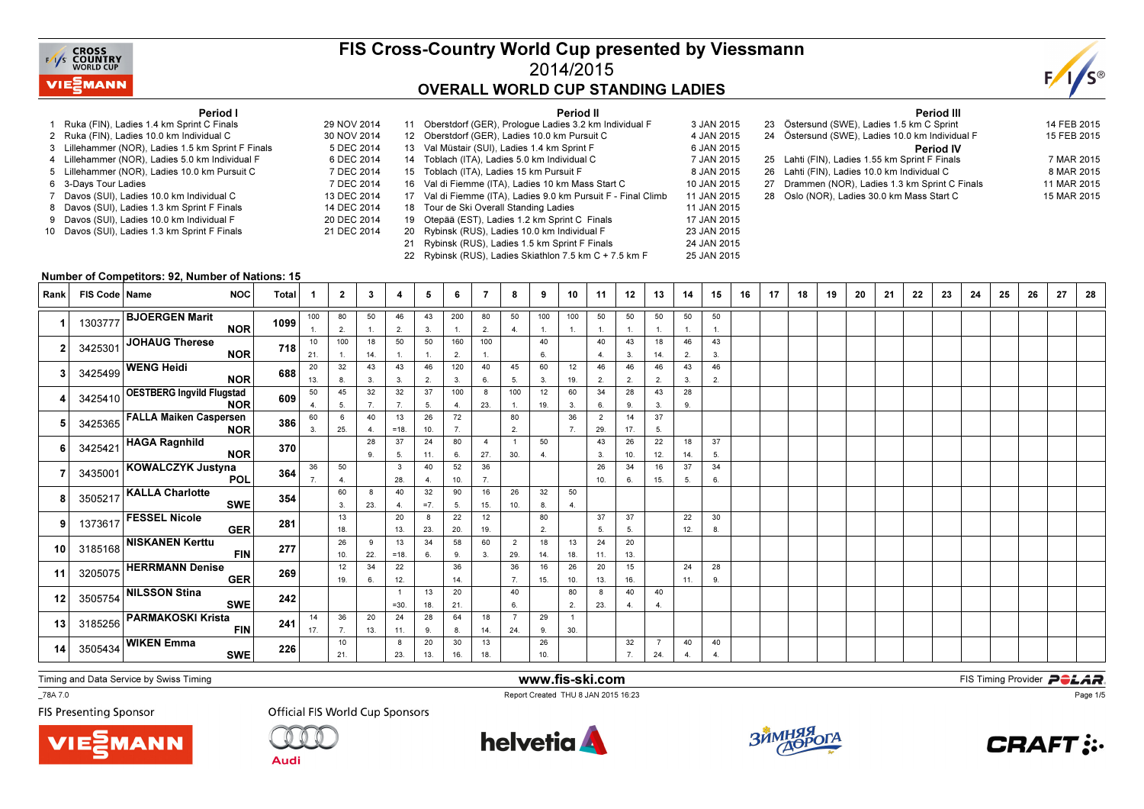

## FIS Cross-Country World Cup presented by Viessmann2014/2015OVERALL WORLD CUP STANDING LADIES

Period II

3 JAN 2015

25 JAN 2015



#### Period I

- 1 Ruka (FIN), Ladies 1.4 km Sprint C Finals 29 NOV 20142 Ruka (FIN), Ladies 10.0 km Individual C
- 3 Lillehammer (NOR), Ladies 1.5 km Sprint F Finals
- 4 Lillehammer (NOR), Ladies 5.0 km Individual F
- 5 Lillehammer (NOR), Ladies 10.0 km Pursuit C
- s 7 DEC 2014 6 3-Days Tour Ladies
- 7 Davos (SUI), Ladies 10.0 km Individual C
- 8 Davos (SUI), Ladies 1.3 km Sprint F Finals
- 9 Davos (SUI), Ladies 10.0 km Individual F 10 Davos (SUI), Ladies 1.3 km Sprint F Finals

| 29 NOV 2014 | 11 Oberstdorf (GER), Prologue Ladies 3.2 km Individual F      | 3 JAN 2015  |
|-------------|---------------------------------------------------------------|-------------|
| 30 NOV 2014 | 12 Oberstdorf (GER), Ladies 10.0 km Pursuit C                 | 4 JAN 2015  |
| 5 DEC 2014  | 13 Val Müstair (SUI), Ladies 1.4 km Sprint F                  | 6 JAN 2015  |
| 6 DEC 2014  | 14 Toblach (ITA), Ladies 5.0 km Individual C                  | 7 JAN 2015  |
| 7 DEC 2014  | 15 Toblach (ITA), Ladies 15 km Pursuit F                      | 8 JAN 2015  |
| 7 DEC 2014  | 16 Val di Fiemme (ITA), Ladies 10 km Mass Start C             | 10 JAN 2015 |
| 13 DEC 2014 | 17 Val di Fiemme (ITA), Ladies 9.0 km Pursuit F - Final Climb | 11 JAN 2015 |
| 14 DEC 2014 | 18 Tour de Ski Overall Standing Ladies                        | 11 JAN 2015 |
| 20 DEC 2014 | 19 Otepää (EST), Ladies 1.2 km Sprint C Finals                | 17 JAN 2015 |
| 21 DEC 2014 | 20 Rybinsk (RUS), Ladies 10.0 km Individual F                 | 23 JAN 2015 |
|             | 21 Rybinsk (RUS), Ladies 1.5 km Sprint F Finals               | 24 JAN 2015 |
|             |                                                               |             |

22 Rybinsk (RUS), Ladies Skiathlon 7.5 km C + 7.5 km F

|  | <b>Period III</b>                               |             |
|--|-------------------------------------------------|-------------|
|  | 23 Östersund (SWE), Ladies 1.5 km C Sprint      | 14 FEB 2015 |
|  | 24 Östersund (SWE), Ladies 10.0 km Individual F | 15 FEB 2015 |
|  | <b>Period IV</b>                                |             |
|  | 25 Lahti (FIN), Ladies 1.55 km Sprint F Finals  | 7 MAR 2015  |
|  | 26 Lahti (FIN), Ladies 10.0 km Individual C     | 8 MAR 2015  |
|  | 27 Drammen (NOR), Ladies 1.3 km Sprint C Finals | 11 MAR 2015 |
|  | 28 Oslo (NOR), Ladies 30.0 km Mass Start C      | 15 MAR 2015 |
|  |                                                 |             |

#### Number of Competitors: 92, Number of Nations: 15

| Rank            | FIS Code   Name | <b>NOC</b>                                      | <b>Total</b> |           | $\mathbf{2}$ | 3         | 4                   | 5                  | 6         | 7                     | 8                     | 9                     | 10                    | 11                    | 12                   | 13                    | 14                   | 15       | 16 | 17 | 18 | 19 | 20 | 21 | 22 | 23 | 24 | 25 | 26 | 27 | 28 |
|-----------------|-----------------|-------------------------------------------------|--------------|-----------|--------------|-----------|---------------------|--------------------|-----------|-----------------------|-----------------------|-----------------------|-----------------------|-----------------------|----------------------|-----------------------|----------------------|----------|----|----|----|----|----|----|----|----|----|----|----|----|----|
|                 | 1303777         | <b>BJOERGEN Marit</b><br><b>NOR</b>             | 1099         | 100       | 80<br>2.     | 50<br>1.  | 46<br>2.            | 43<br>3.           | 200<br>1. | 80<br>2.              | 50<br>4.              | 100<br>$\mathbf{1}$ . | 100<br>$\overline{1}$ | 50<br>$\mathbf{1}$ .  | 50<br>$\overline{1}$ | 50                    | 50                   | 50       |    |    |    |    |    |    |    |    |    |    |    |    |    |
|                 | 3425301         | <b>JOHAUG Therese</b><br><b>NOR</b>             | 718          | 10<br>21. | 100<br>1.    | 18<br>14. | 50<br>1.            | 50<br>$\mathbf{1}$ | 160<br>2. | 100<br>$\mathbf{1}$   |                       | 40<br>6.              |                       | 40<br>4.              | 43<br>3.             | 18<br>14.             | 46<br>2.             | 43<br>3. |    |    |    |    |    |    |    |    |    |    |    |    |    |
|                 | 3425499         | <b>WENG Heidi</b><br><b>NOR</b>                 | 688          | 20<br>13. | 32<br>8.     | 43<br>3.  | 43<br>3.            | 46<br>2.           | 120<br>3. | 40<br>6.              | 45<br>5.              | 60<br>3.              | 12<br>19.             | 46<br>2.              | 46<br>2.             | 46<br>2.              | 43<br>3.             | 46<br>2. |    |    |    |    |    |    |    |    |    |    |    |    |    |
|                 |                 | 3425410 OESTBERG Ingvild Flugstad<br><b>NOR</b> | 609          | 50<br>4.  | 45<br>5.     | 32<br>7.  | 32<br>7.            | 37<br>5.           | 100<br>4. | 8<br>23.              | 100<br>1.             | 12<br>19.             | 60<br>3.              | 34<br>6.              | 28<br>9.             | 43<br>3.              | 28<br>9.             |          |    |    |    |    |    |    |    |    |    |    |    |    |    |
|                 | 3425365         | <b>FALLA Maiken Caspersen</b><br><b>NOR</b>     | 386          | 60<br>3.  | 6<br>25.     | 40<br>4.  | 13<br>$=18.$        | 26<br>10.          | 72<br>7.  |                       | 80<br>2.              |                       | 36<br>7.              | $\overline{2}$<br>29. | 14<br>17.            | 37<br>5.              |                      |          |    |    |    |    |    |    |    |    |    |    |    |    |    |
|                 | 3425421         | <b>HAGA Ragnhild</b><br><b>NOR</b>              | 370          |           |              | 28<br>9.  | 37<br>5.            | 24<br>11.          | 80<br>6.  | $\overline{4}$<br>27. | 30.                   | 50                    |                       | 43<br>3.              | 26<br>10.            | 22<br>12.             | 18<br>14.            | 37<br>5. |    |    |    |    |    |    |    |    |    |    |    |    |    |
|                 | 3435001         | KOWALCZYK Justyna<br><b>POL</b>                 | 364          | 36        | 50<br>4.     |           | $\mathbf{3}$<br>28. | 40<br>4.           | 52<br>10. | 36<br>7.              |                       |                       |                       | 26<br>10.             | 34<br>6.             | 16<br>15.             | 37<br>5.             | 34<br>6. |    |    |    |    |    |    |    |    |    |    |    |    |    |
|                 | 3505217         | <b>KALLA Charlotte</b><br><b>SWE</b>            | 354          |           | 60<br>3.     | 8<br>23.  | 40<br>4.            | 32<br>$=7.$        | 90<br>5.  | 16<br>15.             | 26<br>10.             | 32<br>8.              | 50                    |                       |                      |                       |                      |          |    |    |    |    |    |    |    |    |    |    |    |    |    |
|                 | 1373617         | <b>FESSEL Nicole</b><br><b>GER</b>              | 281          |           | 13<br>18.    |           | 20<br>13.           | 8<br>23.           | 22<br>20. | 12<br>19.             |                       | 80<br>2.              |                       | 37<br>5.              | 37<br>5.             |                       | 22<br>12.            | 30<br>8. |    |    |    |    |    |    |    |    |    |    |    |    |    |
| 10 <sup>1</sup> |                 | 3185168 NISKANEN Kerttu<br><b>FIN</b>           | 277          |           | 26<br>10.    | 9<br>22.  | 13<br>$=18.$        | 34<br>6.           | 58<br>9.  | 60<br>3.              | $\overline{2}$<br>29. | 18<br>14.             | 13<br>18.             | 24<br>11.             | 20<br>13.            |                       |                      |          |    |    |    |    |    |    |    |    |    |    |    |    |    |
| 11              |                 | 3205075 HERRMANN Denise<br><b>GER</b>           | 269          |           | 12<br>19.    | 34<br>6.  | 22<br>12.           |                    | 36<br>14. |                       | 36<br>7.              | 16<br>15.             | 26<br>10.             | 20<br>13.             | 15<br>16.            |                       | 24<br>11.            | 28<br>9. |    |    |    |    |    |    |    |    |    |    |    |    |    |
| 12              |                 | 3505754 NILSSON Stina<br><b>SWE</b>             | 242          |           |              |           | $=30.$              | 13<br>18.          | 20<br>21. |                       | 40<br>6.              |                       | 80<br>2.              | 8<br>23.              | 40<br>-4.            | 40<br>4.              |                      |          |    |    |    |    |    |    |    |    |    |    |    |    |    |
| 13              |                 | 3185256 PARMAKOSKI Krista<br><b>FIN</b>         | 241          | 14<br>17. | 36<br>7.     | 20<br>13. | 24<br>11.           | 28<br>9.           | 64<br>8.  | 18<br>14.             | $\overline{7}$<br>24. | 29<br>9.              | $\overline{1}$<br>30. |                       |                      |                       |                      |          |    |    |    |    |    |    |    |    |    |    |    |    |    |
| 14              | 3505434         | <b>WIKEN Emma</b><br><b>SWE</b>                 | 226          |           | 10<br>21.    |           | 8<br>23.            | 20<br>13.          | 30<br>16. | 13<br>18.             |                       | 26<br>10.             |                       |                       | 32<br>7.             | $\overline{7}$<br>24. | 40<br>$\overline{4}$ | 40<br>4. |    |    |    |    |    |    |    |    |    |    |    |    |    |

Timing and Data Service by Swiss Timing

\_78A 7.0

**FIS Presenting Sponsor** 





**Official FIS World Cup Sponsors** 



www.fis-ski.com

Report Created THU 8 JAN 2015 16:23





**CRAFT:..**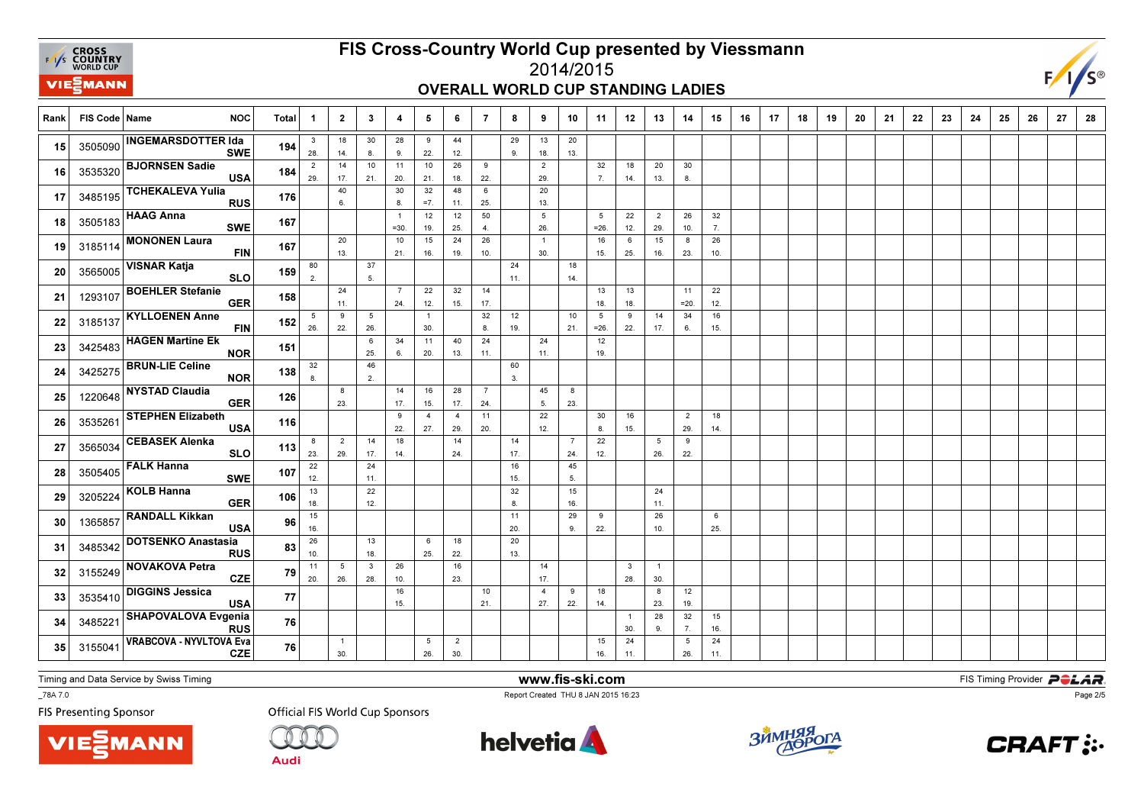

# FIS Cross-Country World Cup presented by Viessmann

## 2014/2015OVERALL WORLD CUP STANDING LADIES



| Rank | FIS Code   Name | <b>NOC</b>                                                 | <b>Total</b> | -1                    | $\overline{\mathbf{2}}$ | $\mathbf{3}$        | 4                        | 5                     | 6                     | 7                     | 8             | 9                      | 10                    | 11          | 12               | 13                    | 14                    | 15               | 16 | 17 | 18 | 19 | 20 | 21 | 22 | 23 | 24 | 25 | 26 | 27 | 28 |
|------|-----------------|------------------------------------------------------------|--------------|-----------------------|-------------------------|---------------------|--------------------------|-----------------------|-----------------------|-----------------------|---------------|------------------------|-----------------------|-------------|------------------|-----------------------|-----------------------|------------------|----|----|----|----|----|----|----|----|----|----|----|----|----|
| 15   | 3505090         | <b>INGEMARSDOTTER Ida</b><br><b>SWE</b>                    | 194          | $\mathbf{3}$<br>28.   | 18<br>14.               | 30<br>8.            | 28<br>9.                 | 9<br>22.              | 44<br>12.             |                       | 29<br>9.      | 13<br>18.              | 20<br>13.             |             |                  |                       |                       |                  |    |    |    |    |    |    |    |    |    |    |    |    |    |
| 16   | 3535320         | <b>BJORNSEN Sadie</b><br><b>USA</b>                        | 184          | $\overline{2}$<br>29. | 14<br>17.               | 10<br>21.           | 11<br>20.                | 10<br>21.             | 26<br>18.             | 9<br>22.              |               | $\overline{2}$<br>29.  |                       | 32<br>7.    | 18<br>14.        | 20<br>13.             | 30<br>8.              |                  |    |    |    |    |    |    |    |    |    |    |    |    |    |
| 17   | 3485195         | <b>TCHEKALEVA Yulia</b><br><b>RUS</b>                      | 176          |                       | 40<br>6.                |                     | 30<br>8.                 | 32<br>$=7.$           | 48<br>11.             | 6<br>25.              |               | 20<br>13.              |                       |             |                  |                       |                       |                  |    |    |    |    |    |    |    |    |    |    |    |    |    |
| 18   | 3505183         | <b>HAAG Anna</b><br><b>SWE</b>                             | 167          |                       |                         |                     | $\overline{1}$<br>$=30.$ | 12<br>19.             | 12<br>25.             | 50<br>$\overline{4}$  |               | $5\phantom{.0}$<br>26. |                       | 5<br>$=26.$ | 22<br>12.        | $\overline{2}$<br>29. | 26<br>10.             | 32<br>7.         |    |    |    |    |    |    |    |    |    |    |    |    |    |
| 19   | 3185114         | <b>MONONEN Laura</b><br><b>FIN</b>                         | 167          |                       | 20<br>13.               |                     | 10<br>21.                | 15<br>16.             | 24<br>19.             | 26<br>10.             |               | $\overline{1}$<br>30.  |                       | 16<br>15.   | 6<br>25.         | 15<br>16.             | 8<br>23.              | 26<br>10.        |    |    |    |    |    |    |    |    |    |    |    |    |    |
| 20   | 3565005         | <b>VISNAR Katja</b><br><b>SLO</b>                          | 159          | 80<br>2.              |                         | 37<br>5.            |                          |                       |                       |                       | 24<br>11.     |                        | 18<br>14.             |             |                  |                       |                       |                  |    |    |    |    |    |    |    |    |    |    |    |    |    |
| 21   | 1293107         | <b>BOEHLER Stefanie</b><br><b>GER</b>                      | 158          |                       | 24<br>11.               |                     | $\overline{7}$<br>24.    | 22<br>12.             | 32<br>15.             | 14<br>17.             |               |                        |                       | 13<br>18.   | 13<br>18.        |                       | 11<br>$=20.$          | 22<br>12.        |    |    |    |    |    |    |    |    |    |    |    |    |    |
| 22   | 3185137         | <b>KYLLOENEN Anne</b><br><b>FIN</b>                        | 152          | 5<br>26.              | 9<br>22.                | 5<br>26.            |                          | $\overline{1}$<br>30. |                       | 32<br>8.              | $12\,$<br>19. |                        | 10<br>21.             | 5<br>$=26.$ | 9<br>22.         | 14<br>17.             | 34<br>6.              | 16<br>15.        |    |    |    |    |    |    |    |    |    |    |    |    |    |
| 23   | 3425483         | <b>HAGEN Martine Ek</b><br><b>NOR</b>                      | 151          |                       |                         | - 6<br>25.          | 34<br>6.                 | 11<br>20.             | 40<br>13.             | 24<br>11.             |               | 24<br>11.              |                       | 12<br>19.   |                  |                       |                       |                  |    |    |    |    |    |    |    |    |    |    |    |    |    |
| 24   | 3425275         | <b>BRUN-LIE Celine</b><br><b>NOR</b>                       | 138          | 32<br>8               |                         | 46<br>2.            |                          |                       |                       |                       | 60<br>3.      |                        |                       |             |                  |                       |                       |                  |    |    |    |    |    |    |    |    |    |    |    |    |    |
| 25   | 1220648         | <b>NYSTAD Claudia</b><br><b>GER</b>                        | 126          |                       | 8<br>23.                |                     | 14<br>17.                | 16<br>15.             | 28<br>17.             | $\overline{7}$<br>24. |               | 45<br>5.               | 8<br>23.              |             |                  |                       |                       |                  |    |    |    |    |    |    |    |    |    |    |    |    |    |
| 26   | 3535261         | <b>STEPHEN Elizabeth</b><br><b>USA</b>                     | 116          |                       |                         |                     | 9<br>22.                 | $\overline{4}$<br>27. | $\overline{4}$<br>29. | 11<br>20.             |               | 22<br>12.              |                       | 30<br>8.    | 16<br>15.        |                       | $\overline{2}$<br>29. | 18<br>14.        |    |    |    |    |    |    |    |    |    |    |    |    |    |
| 27   | 3565034         | <b>CEBASEK Alenka</b><br><b>SLO</b>                        | 113          | 8<br>23.              | $\overline{2}$<br>29.   | 14<br>17.           | 18<br>14.                |                       | 14<br>24.             |                       | 14<br>17.     |                        | $\overline{7}$<br>24. | 22<br>12.   |                  | 5<br>26.              | 9<br>22.              |                  |    |    |    |    |    |    |    |    |    |    |    |    |    |
| 28   | 3505405         | <b>FALK Hanna</b><br><b>SWE</b>                            | 107          | 22<br>12.             |                         | 24<br>11.           |                          |                       |                       |                       | 16<br>15.     |                        | 45<br>5.              |             |                  |                       |                       |                  |    |    |    |    |    |    |    |    |    |    |    |    |    |
| 29   | 3205224         | <b>KOLB</b> Hanna<br><b>GER</b>                            | 106          | 13<br>18.             |                         | 22<br>12.           |                          |                       |                       |                       | 32<br>8.      |                        | 15<br>16.             |             |                  | 24<br>11.             |                       |                  |    |    |    |    |    |    |    |    |    |    |    |    |    |
| 30   | 1365857         | <b>RANDALL Kikkan</b><br><b>USA</b>                        | 96           | 15<br>16.             |                         |                     |                          |                       |                       |                       | 11<br>20.     |                        | 29<br>9.              | 9<br>22.    |                  | 26<br>10.             |                       | 6<br>25.         |    |    |    |    |    |    |    |    |    |    |    |    |    |
| 31   | 3485342         | <b>DOTSENKO Anastasia</b><br><b>RUS</b>                    | 83           | 26<br>10.             |                         | 13<br>18.           |                          | 6<br>25.              | 18<br>22.             |                       | 20<br>13.     |                        |                       |             |                  |                       |                       |                  |    |    |    |    |    |    |    |    |    |    |    |    |    |
| 32   | 3155249         | <b>NOVAKOVA Petra</b><br><b>CZE</b>                        | 79           | 11<br>20.             | 5<br>26.                | $\mathbf{3}$<br>28. | 26                       |                       | 16<br>23.             |                       |               | 14                     |                       |             | $\mathbf{3}$     | $\overline{1}$<br>30. |                       |                  |    |    |    |    |    |    |    |    |    |    |    |    |    |
| 33   | 3535410         | <b>DIGGINS Jessica</b><br><b>USA</b>                       | 77           |                       |                         |                     | 10.<br>16<br>15.         |                       |                       | 10                    |               | 17.<br>$\overline{4}$  | 9                     | 18          | 28.              | 8                     | 12                    |                  |    |    |    |    |    |    |    |    |    |    |    |    |    |
| 34   | 3485221         | <b>SHAPOVALOVA Evgenia</b>                                 | 76           |                       |                         |                     |                          |                       |                       | 21.                   |               | 27.                    | 22.                   | 14.         | $\overline{1}$   | 23.<br>28             | 19.<br>32             | 15               |    |    |    |    |    |    |    |    |    |    |    |    |    |
| 35   | 315504          | <b>RUS</b><br><b>VRABCOVA - NYVLTOVA Eva</b><br><b>CZE</b> | 76           |                       | $\overline{1}$<br>30.   |                     |                          | 5<br>26.              | $\overline{2}$<br>30. |                       |               |                        |                       | 15<br>16.   | 30.<br>24<br>11. | 9.                    | 7.<br>5<br>26.        | 16.<br>24<br>11. |    |    |    |    |    |    |    |    |    |    |    |    |    |

Timing and Data Service by Swiss Timing

**VIEZMANN** 

\_78A 7.0

**FIS Presenting Sponsor** 

**Official FIS World Cup Sponsors** 

**Audi** 



www.fis-ski.com

Report Created THU 8 JAN 2015 16:23



**m**<br>FIS Timing Provider<br>F<sup>16.22</sup>



Page 2/5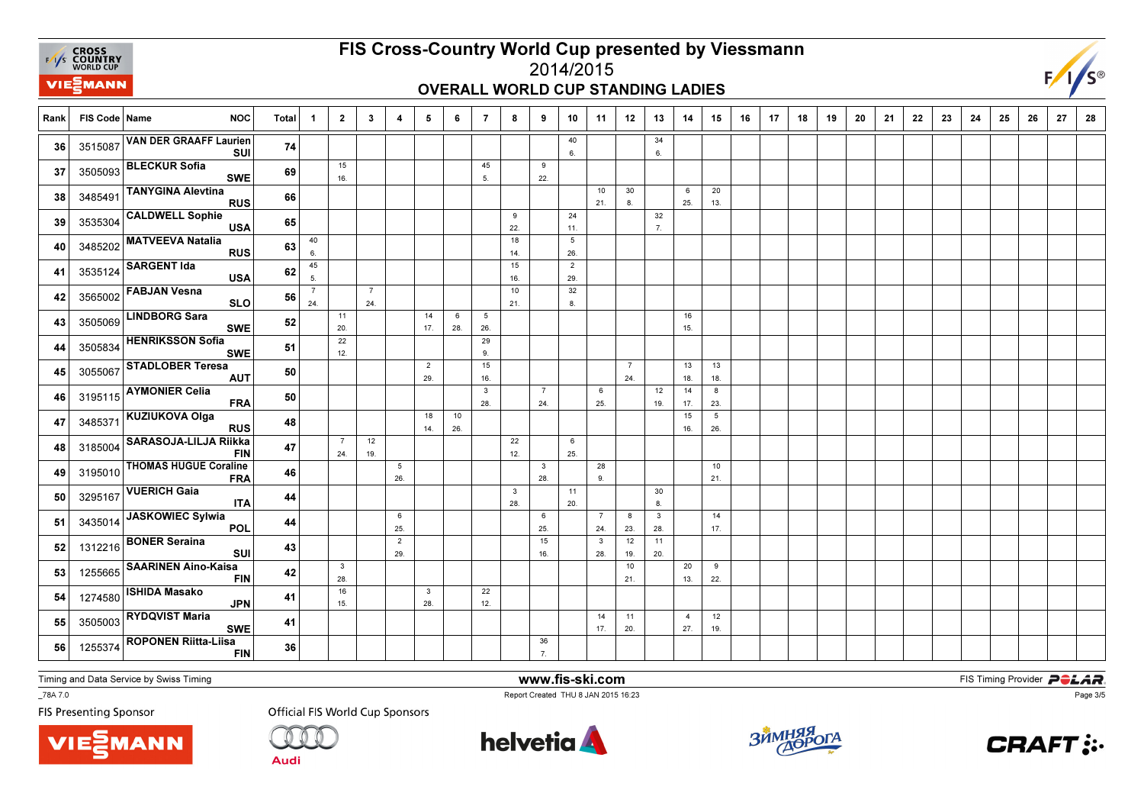

## FIS Cross-Country World Cup presented by Viessmann2014/2015

# OVERALL WORLD CUP STANDING LADIES



Rank FIS Code Name NOC Total 1 1 2 | 3 | 4 | 5 | 6 | 7 | 8 | 9 | 10 | 11 | 12 | 13 | 14 | 15 | 16 | 17 | 18 | 19 9 | 20 | 21 | 22 | 23 | 24 | 25 | 26 | 27 | 28 40 6.346. 36 3515087  $\begin{vmatrix} 36 & 3515087 \end{vmatrix}$   $\begin{vmatrix} 36 & 3615087 \end{vmatrix}$   $\begin{vmatrix} 1 & 1 & 1 \end{vmatrix}$   $\begin{vmatrix} 36 & 1 \end{vmatrix}$   $\begin{vmatrix} 6 & 1 \end{vmatrix}$ 36 351508 VAN DER GRAAFF Laurien SUI <sup>74</sup> 15 16.45 5.9 $22.$ 22.<sup>37</sup>37 3505093 BLECKUR Sofia SWE <sup>69</sup> 10 21.30 8.6 25.20 $13.$ 13.<sup>38</sup>3485491 TANYGINA Alevtina s 66  $\overline{9}$  22.24 11.32 $\overline{7}$ 7.<sup>39</sup>39 3535304 CALDWELL Sophie USA <sup>65</sup> 40 6.18 14. $\frac{1}{15}$ 526. 40 3485202  $\cdots$  22 method and RUS 63  $\frac{1}{6}$  | | | | |  $\frac{1}{26}$  <sup>3485202</sup> MATVEEVA Natalia RUS <sup>63</sup> 45 5. 16. 10 $\overline{2}$  29. 41 <sup>3535124</sup>SARGENT Ida<br>USA <sup>62</sup> 7 24.7 24. 21.32 8. 42 <sup>3565002</sup> FABJAN Vesna SLO0 56 11 20. $\frac{1}{22}$ 14 17.6 28.5 26. $\frac{1}{29}$ 16 $15.$ 43 3505069  $\left| \frac{\text{m}}{\text{m}} \right|$   $\left| \frac{\text{m}}{\text{m}} \right|$  52  $\left| \frac{\text{m}}{\text{m}} \right|$   $\left| \frac{\text{m}}{\text{m}} \right|$   $\left| \frac{\text{m}}{\text{m}} \right|$   $\left| \frac{\text{m}}{\text{m}} \right|$   $\left| \frac{\text{m}}{\text{m}} \right|$   $\left| \frac{\text{m}}{\text{m}} \right|$ 43 3505069 LINDBORG Sara SWE <sup>52</sup> 12. 9. 44 <sup>3505834</sup> HENRIKSSON Sofia SWE $\overline{E}$  51 2 29.15 16.7 24.13 18.1318. 18.<sup>45</sup>45 3055067 STADLOBER Teresa<br>AUT  $\frac{1}{\sqrt{1}}$  50 3 28.7 24.6 25.12 19.14 17.823. **46** 3195115  $\begin{bmatrix} 3 & 3 & 5 & 1 & 1 \end{bmatrix}$  **ERA 50 1 1 1 1 1 28 1 24 1 25 1 1 1 1 1 23** 46 3195115 AYMONIER Celia <sup>50</sup> 18 14.10 26.15 16.5 26. 47 <sup>3485371</sup> KUZIUKOVA Olga RUS $\mathsf{s}$  48 7 24.12 19.22 12.625. 25.<sup>48</sup> <sup>3185004</sup> SARASOJA-LILJA Riikka FIN $\frac{47}{1}$ 5 26. $\overline{\mathbf{3}}$  28.28 9.10 $21.$ 21.<sup>49</sup>49 3195010 THOMAS HUGUE Coraline FRA $\left| \frac{46}{4} \right|$ 3 28.11 20.30 $8.$ **50** 3295167  $\begin{bmatrix} 3295167 \end{bmatrix}$  **12.8**  $\begin{bmatrix} 3295167 \end{bmatrix}$   $\begin{bmatrix} 8 \end{bmatrix}$ **50** 3295167 VUERICH Gaia **ITA**  $\overline{A}$  44 6 25.6 25.7 24.8 23.3 28.14 $17.$ 17.<sup>51</sup> <sup>3435014</sup> JASKOWIEC Sylwia POL <sup>44</sup> 2 29.15 16.3 28.12 19.1120 20.<sup>52</sup>52 1312216 BONER Seraina <sup>43</sup> 3 28.10 21.20 13.9 $22.$ 22.<sup>53</sup>53 1255665 SAARINEN Aino-Kaisa<br>FIN <sup>42</sup> 16 15.3 28.22 $12.$ 12.<sup>54</sup>54 1274580 ISHIDA Masako JPN $\overline{N}$  41 14 17.11 20.4 27.1219. **55** 3505003  $\left|\text{...} \right|$   $\text{...}$   $\text{...}$   $\text{...}$   $\text{...}$   $\text{...}$   $\text{...}$   $\text{...}$   $\text{...}$   $\text{...}$   $\text{...}$   $\text{...}$   $\text{...}$   $\text{...}$   $\text{...}$   $\text{...}$   $\text{...}$   $\text{...}$   $\text{...}$   $\text{...}$   $\text{...}$   $\text{...}$   $\text{...}$   $\text{...}$   $\text{...}$   $\text$ 55 3505003 RYDQVIST Maria <sup>41</sup> 36 $\overline{7}$ 7.<sup>56</sup>56 1255374 ROPONEN Riitta-Liisa<br>FIN  $\overline{\mathsf{n}}$  36

Timing and Data Service by Swiss Timing

**VIE***MANN* 

\_78A 7.0

**FIS Presenting Sponsor** 

**Official FIS World Cup Sponsors** 

Audi



www.fis-ski.com

Report Created THU 8 JAN 2015 16:23



**m**<br>FIS Timing Provider<br>F<sup>16.22</sup>



Page 3/5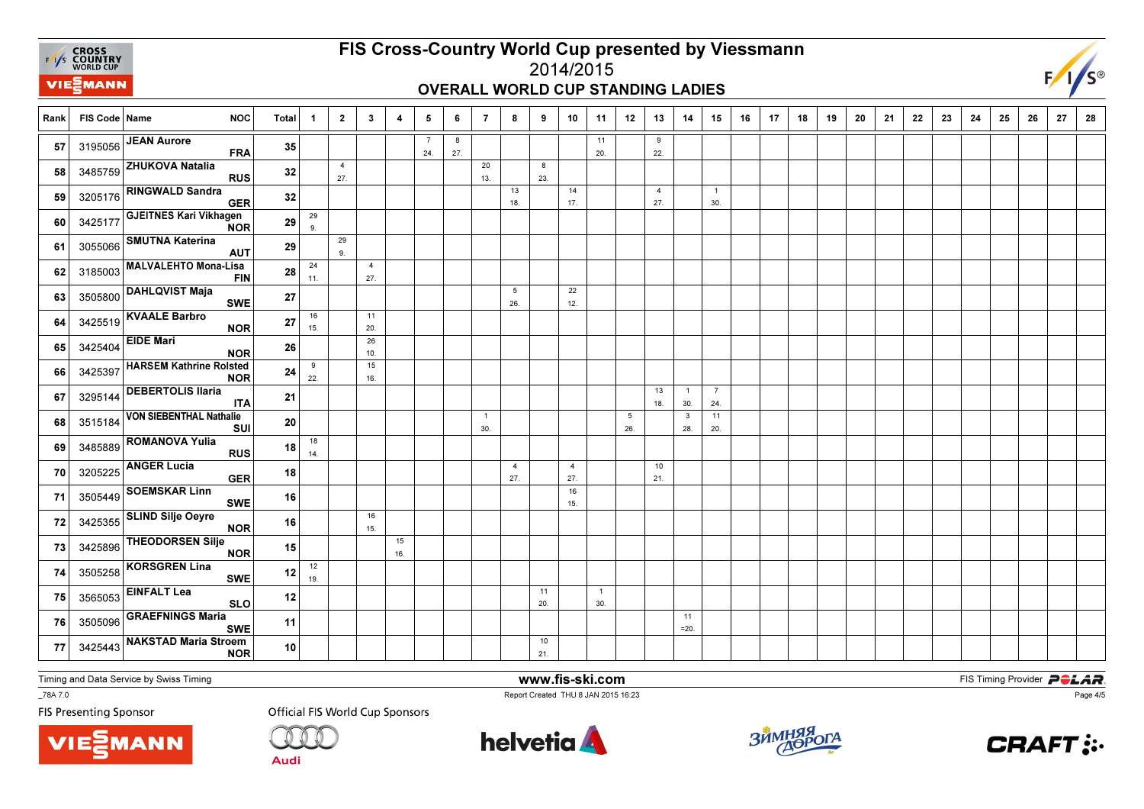

# FIS Cross-Country World Cup presented by Viessmann

## 2014/2015OVERALL WORLD CUP STANDING LADIES



| Rank | FIS Code   Name | <b>NOC</b>                                   | <b>Total</b> | -1        | $\overline{2}$        | $\mathbf{3}$          | 4         | 5                     | 6        | $\overline{7}$        | 8                     | 9         | 10                    | 11                    | 12       | 13                    | 14                             | 15                    | 16 | 17 | 18 | 19 | 20 | 21 | 22 | 23 | 24 | 25 | 26 | 27 | 28 |
|------|-----------------|----------------------------------------------|--------------|-----------|-----------------------|-----------------------|-----------|-----------------------|----------|-----------------------|-----------------------|-----------|-----------------------|-----------------------|----------|-----------------------|--------------------------------|-----------------------|----|----|----|----|----|----|----|----|----|----|----|----|----|
| 57   |                 | 3195056 JEAN Aurore<br><b>FRA</b>            | 35           |           |                       |                       |           | $\overline{7}$<br>24. | 8<br>27. |                       |                       |           |                       | 11<br>20.             |          | 9<br>22.              |                                |                       |    |    |    |    |    |    |    |    |    |    |    |    |    |
| 58   |                 | 3485759 ZHUKOVA Natalia<br><b>RUS</b>        | 32           |           | $\overline{4}$<br>27. |                       |           |                       |          | 20<br>13.             |                       | 8<br>23.  |                       |                       |          |                       |                                |                       |    |    |    |    |    |    |    |    |    |    |    |    |    |
| 59   | 3205176         | <b>RINGWALD Sandra</b><br><b>GER</b>         | 32           |           |                       |                       |           |                       |          |                       | 13<br>18.             |           | 14<br>17.             |                       |          | $\overline{4}$<br>27. |                                | $\overline{1}$<br>30. |    |    |    |    |    |    |    |    |    |    |    |    |    |
| 60   | 3425177         | <b>GJEITNES Kari Vikhagen</b><br><b>NOR</b>  | 29           | 29<br>9.  |                       |                       |           |                       |          |                       |                       |           |                       |                       |          |                       |                                |                       |    |    |    |    |    |    |    |    |    |    |    |    |    |
| 61   | 3055066         | <b>SMUTNA Katerina</b><br><b>AUT</b>         | 29           |           | 29<br>9.              |                       |           |                       |          |                       |                       |           |                       |                       |          |                       |                                |                       |    |    |    |    |    |    |    |    |    |    |    |    |    |
| 62   | 3185003         | <b>MALVALEHTO Mona-Lisa</b><br><b>FIN</b>    | 28           | 24<br>11. |                       | $\overline{4}$<br>27. |           |                       |          |                       |                       |           |                       |                       |          |                       |                                |                       |    |    |    |    |    |    |    |    |    |    |    |    |    |
| 63   | 3505800         | <b>DAHLQVIST Maja</b><br><b>SWE</b>          | 27           |           |                       |                       |           |                       |          |                       | 5<br>26.              |           | 22<br>12.             |                       |          |                       |                                |                       |    |    |    |    |    |    |    |    |    |    |    |    |    |
| 64   | 3425519         | <b>KVAALE Barbro</b><br><b>NOR</b>           | 27           | 16<br>15. |                       | 11<br>20.             |           |                       |          |                       |                       |           |                       |                       |          |                       |                                |                       |    |    |    |    |    |    |    |    |    |    |    |    |    |
| 65   | 3425404         | <b>EIDE Mari</b><br><b>NOR</b>               | 26           |           |                       | 26<br>10.             |           |                       |          |                       |                       |           |                       |                       |          |                       |                                |                       |    |    |    |    |    |    |    |    |    |    |    |    |    |
| 66   | 3425397         | <b>HARSEM Kathrine Rolsted</b><br><b>NOR</b> | 24           | 9<br>22.  |                       | 15<br>16.             |           |                       |          |                       |                       |           |                       |                       |          |                       |                                |                       |    |    |    |    |    |    |    |    |    |    |    |    |    |
| 67   | 3295144         | <b>DEBERTOLIS Ilaria</b><br><b>ITA</b>       | 21           |           |                       |                       |           |                       |          |                       |                       |           |                       |                       |          | 13<br>18.             | $\overline{1}$<br>30.          | $\overline{7}$<br>24. |    |    |    |    |    |    |    |    |    |    |    |    |    |
| 68   | 3515184         | <b>VON SIEBENTHAL Nathalie</b><br>SUI        | 20           |           |                       |                       |           |                       |          | $\overline{1}$<br>30. |                       |           |                       |                       | 5<br>26. |                       | $\overline{\mathbf{3}}$<br>28. | 11<br>20.             |    |    |    |    |    |    |    |    |    |    |    |    |    |
| 69   | 3485889         | <b>ROMANOVA Yulia</b><br><b>RUS</b>          | 18           | 18<br>14. |                       |                       |           |                       |          |                       |                       |           |                       |                       |          |                       |                                |                       |    |    |    |    |    |    |    |    |    |    |    |    |    |
| 70   | 3205225         | <b>ANGER Lucia</b><br><b>GER</b>             | 18           |           |                       |                       |           |                       |          |                       | $\overline{4}$<br>27. |           | $\overline{4}$<br>27. |                       |          | 10<br>21.             |                                |                       |    |    |    |    |    |    |    |    |    |    |    |    |    |
| 71   | 3505449         | <b>SOEMSKAR Linn</b><br><b>SWE</b>           | 16           |           |                       |                       |           |                       |          |                       |                       |           | 16<br>15.             |                       |          |                       |                                |                       |    |    |    |    |    |    |    |    |    |    |    |    |    |
| 72   | 3425355         | <b>SLIND Silje Oeyre</b><br><b>NOR</b>       | 16           |           |                       | 16<br>15.             |           |                       |          |                       |                       |           |                       |                       |          |                       |                                |                       |    |    |    |    |    |    |    |    |    |    |    |    |    |
| 73   | 3425896         | <b>THEODORSEN Silje</b><br><b>NOR</b>        | 15           |           |                       |                       | 15<br>16. |                       |          |                       |                       |           |                       |                       |          |                       |                                |                       |    |    |    |    |    |    |    |    |    |    |    |    |    |
| 74   | 3505258         | <b>KORSGREN Lina</b><br><b>SWE</b>           | 12           | 12<br>19. |                       |                       |           |                       |          |                       |                       |           |                       |                       |          |                       |                                |                       |    |    |    |    |    |    |    |    |    |    |    |    |    |
| 75   | 3565053         | <b>EINFALT Lea</b><br><b>SLO</b>             | 12           |           |                       |                       |           |                       |          |                       |                       | 11<br>20. |                       | $\overline{1}$<br>30. |          |                       |                                |                       |    |    |    |    |    |    |    |    |    |    |    |    |    |
| 76   | 3505096         | <b>GRAEFNINGS Maria</b><br><b>SWE</b>        | 11           |           |                       |                       |           |                       |          |                       |                       |           |                       |                       |          |                       | 11<br>$=20.$                   |                       |    |    |    |    |    |    |    |    |    |    |    |    |    |
| 77   | 3425443         | <b>NAKSTAD Maria Stroem</b><br><b>NOR</b>    | 10           |           |                       |                       |           |                       |          |                       |                       | 10<br>21. |                       |                       |          |                       |                                |                       |    |    |    |    |    |    |    |    |    |    |    |    |    |

Timing and Data Service by Swiss Timing

VIEZMANN

\_78A 7.0

**FIS Presenting Sponsor** 

**Official FIS World Cup Sponsors** 

**Audi** 



www.fis-ski.com

Report Created THU 8 JAN 2015 16:23



**m**<br>FIS Timing Provider<br>F<sup>16.22</sup>



Page 4/5